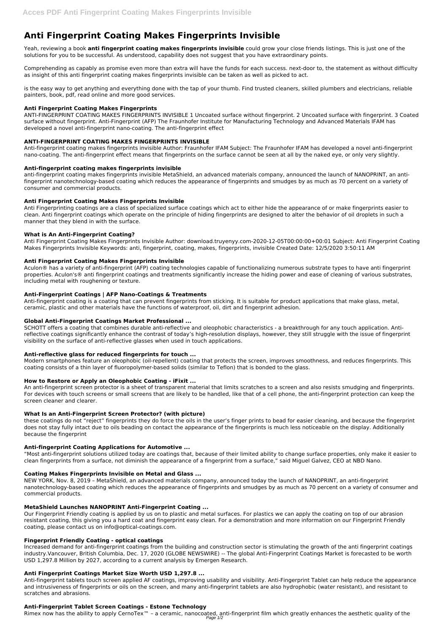# **Anti Fingerprint Coating Makes Fingerprints Invisible**

Yeah, reviewing a book **anti fingerprint coating makes fingerprints invisible** could grow your close friends listings. This is just one of the solutions for you to be successful. As understood, capability does not suggest that you have extraordinary points.

Comprehending as capably as promise even more than extra will have the funds for each success. next-door to, the statement as without difficulty as insight of this anti fingerprint coating makes fingerprints invisible can be taken as well as picked to act.

is the easy way to get anything and everything done with the tap of your thumb. Find trusted cleaners, skilled plumbers and electricians, reliable painters, book, pdf, read online and more good services.

# **Anti Fingerprint Coating Makes Fingerprints**

ANTI-FINGERPRINT COATING MAKES FINGERPRINTS INVISIBLE 1 Uncoated surface without fingerprint. 2 Uncoated surface with fingerprint. 3 Coated surface without fingerprint. Anti-Fingerprint (AFP) The Fraunhofer Institute for Manufacturing Technology and Advanced Materials IFAM has developed a novel anti-fingerprint nano-coating. The anti-fingerprint effect

# **ANTI-FINGERPRINT COATING MAKES FINGERPRINTS INVISIBLE**

Anti-fingerprint coating makes fingerprints invisible Author: Fraunhofer IFAM Subject: The Fraunhofer IFAM has developed a novel anti-fingerprint nano-coating. The anti-fingerprint effect means that fingerprints on the surface cannot be seen at all by the naked eye, or only very slightly.

## **Anti-fingerprint coating makes fingerprints invisible**

anti-fingerprint coating makes fingerprints invisible MetaShield, an advanced materials company, announced the launch of NANOPRINT, an antifingerprint nanotechnology-based coating which reduces the appearance of fingerprints and smudges by as much as 70 percent on a variety of consumer and commercial products.

# **Anti Fingerprint Coating Makes Fingerprints Invisible**

Anti Fingerprinting coatings are a class of specialized surface coatings which act to either hide the appearance of or make fingerprints easier to clean. Anti fingerprint coatings which operate on the principle of hiding fingerprints are designed to alter the behavior of oil droplets in such a manner that they blend in with the surface.

# **What is An Anti-Fingerprint Coating?**

Anti Fingerprint Coating Makes Fingerprints Invisible Author: download.truyenyy.com-2020-12-05T00:00:00+00:01 Subject: Anti Fingerprint Coating Makes Fingerprints Invisible Keywords: anti, fingerprint, coating, makes, fingerprints, invisible Created Date: 12/5/2020 3:50:11 AM

## **Anti Fingerprint Coating Makes Fingerprints Invisible**

Aculon® has a variety of anti-fingerprint (AFP) coating technologies capable of functionalizing numerous substrate types to have anti fingerprint properties. Aculon's® anti fingerprint coatings and treatments significantly increase the hiding power and ease of cleaning of various substrates, including metal with roughening or texture.

## **Anti-Fingerprint Coatings | AFP Nano-Coatings & Treatments**

Anti-fingerprint coating is a coating that can prevent fingerprints from sticking. It is suitable for product applications that make glass, metal, ceramic, plastic and other materials have the functions of waterproof, oil, dirt and fingerprint adhesion.

## **Global Anti-Fingerprint Coatings Market Professional ...**

Rimex now has the ability to apply CernoTex™ – a ceramic, nanocoated, anti-fingerprint film which greatly enhances the aesthetic quality of the Page 1/2

SCHOTT offers a coating that combines durable anti-reflective and oleophobic characteristics - a breakthrough for any touch application. Antireflective coatings significantly enhance the contrast of today's high-resolution displays, however, they still struggle with the issue of fingerprint visibility on the surface of anti-reflective glasses when used in touch applications.

## **Anti-reflective glass for reduced fingerprints for touch ...**

Modern smartphones feature an oleophobic (oil-repellent) coating that protects the screen, improves smoothness, and reduces fingerprints. This coating consists of a thin layer of fluoropolymer-based solids (similar to Teflon) that is bonded to the glass.

## **How to Restore or Apply an Oleophobic Coating - iFixit ...**

An anti-fingerprint screen protector is a sheet of transparent material that limits scratches to a screen and also resists smudging and fingerprints. For devices with touch screens or small screens that are likely to be handled, like that of a cell phone, the anti-fingerprint protection can keep the screen cleaner and clearer.

## **What Is an Anti-Fingerprint Screen Protector? (with picture)**

these coatings do not "reject" fingerprints they do force the oils in the user's finger prints to bead for easier cleaning, and because the fingerprint does not stay fully intact due to oils beading on contact the appearance of the fingerprints is much less noticeable on the display. Additionally because the fingerprint

# **Anti-fingerprint Coating Applications for Automotive ...**

"Most anti-fingerprint solutions utilized today are coatings that, because of their limited ability to change surface properties, only make it easier to clean fingerprints from a surface, not diminish the appearance of a fingerprint from a surface," said Miguel Galvez, CEO at NBD Nano.

## **Coating Makes Fingerprints Invisible on Metal and Glass ...**

NEW YORK, Nov. 8, 2019 – MetaShield, an advanced materials company, announced today the launch of NANOPRINT, an anti-fingerprint nanotechnology-based coating which reduces the appearance of fingerprints and smudges by as much as 70 percent on a variety of consumer and commercial products.

#### **MetaShield Launches NANOPRINT Anti-Fingerprint Coating ...**

Our Fingerprint Friendly coating is applied by us on to plastic and metal surfaces. For plastics we can apply the coating on top of our abrasion resistant coating, this giving you a hard coat and fingerprint easy clean. For a demonstration and more information on our Fingerprint Friendly coating, please contact us on info@optical-coatings.com.

#### **Fingerprint Friendly Coating - optical coatings**

Increased demand for anti-fingerprint coatings from the building and construction sector is stimulating the growth of the anti fingerprint coatings industry.Vancouver, British Columbia, Dec. 17, 2020 (GLOBE NEWSWIRE) -- The global Anti-Fingerprint Coatings Market is forecasted to be worth USD 1,297.8 Million by 2027, according to a current analysis by Emergen Research.

#### **Anti Fingerprint Coatings Market Size Worth USD 1,297.8 ...**

Anti-fingerprint tablets touch screen applied AF coatings, improving usability and visibility. Anti-Fingerprint Tablet can help reduce the appearance and intrusiveness of fingerprints or oils on the screen, and many anti-fingerprint tablets are also hydrophobic (water resistant), and resistant to scratches and abrasions.

#### **Anti-Fingerprint Tablet Screen Coatings - Estone Technology**